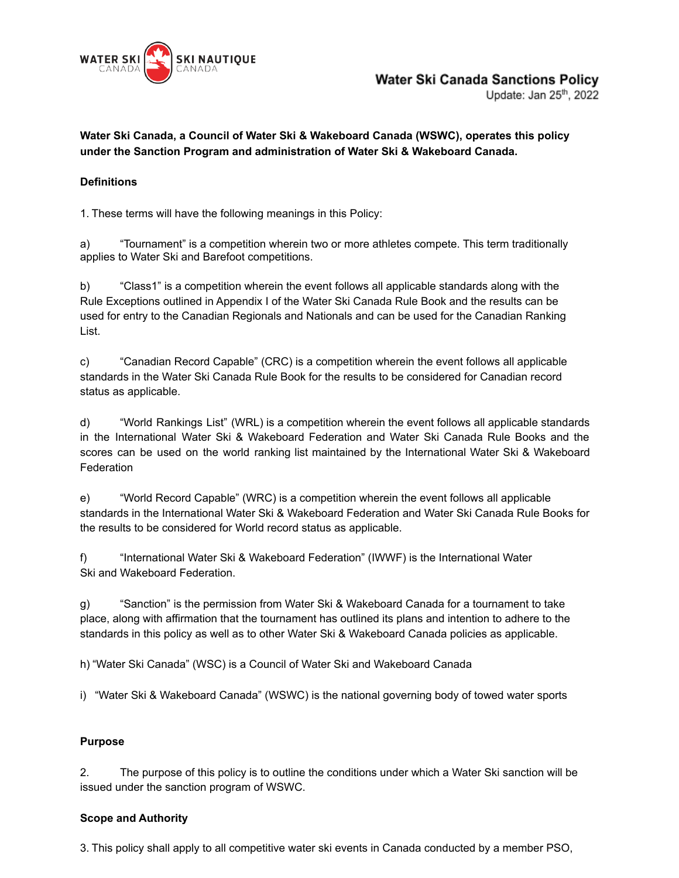

Update: Jan 25<sup>th</sup>, 2022

**Water Ski Canada, a Council of Water Ski & Wakeboard Canada (WSWC), operates this policy under the Sanction Program and administration of Water Ski & Wakeboard Canada.**

## **Definitions**

1. These terms will have the following meanings in this Policy:

a) "Tournament" is a competition wherein two or more athletes compete. This term traditionally applies to Water Ski and Barefoot competitions.

b) "Class1" is a competition wherein the event follows all applicable standards along with the Rule Exceptions outlined in Appendix I of the Water Ski Canada Rule Book and the results can be used for entry to the Canadian Regionals and Nationals and can be used for the Canadian Ranking List.

c) "Canadian Record Capable" (CRC) is a competition wherein the event follows all applicable standards in the Water Ski Canada Rule Book for the results to be considered for Canadian record status as applicable.

d) "World Rankings List" (WRL) is a competition wherein the event follows all applicable standards in the International Water Ski & Wakeboard Federation and Water Ski Canada Rule Books and the scores can be used on the world ranking list maintained by the International Water Ski & Wakeboard **Federation** 

e) "World Record Capable" (WRC) is a competition wherein the event follows all applicable standards in the International Water Ski & Wakeboard Federation and Water Ski Canada Rule Books for the results to be considered for World record status as applicable.

f) "International Water Ski & Wakeboard Federation" (IWWF) is the International Water Ski and Wakeboard Federation.

g) "Sanction" is the permission from Water Ski & Wakeboard Canada for a tournament to take place, along with affirmation that the tournament has outlined its plans and intention to adhere to the standards in this policy as well as to other Water Ski & Wakeboard Canada policies as applicable.

h) "Water Ski Canada" (WSC) is a Council of Water Ski and Wakeboard Canada

i) "Water Ski & Wakeboard Canada" (WSWC) is the national governing body of towed water sports

## **Purpose**

2. The purpose of this policy is to outline the conditions under which a Water Ski sanction will be issued under the sanction program of WSWC.

## **Scope and Authority**

3. This policy shall apply to all competitive water ski events in Canada conducted by a member PSO,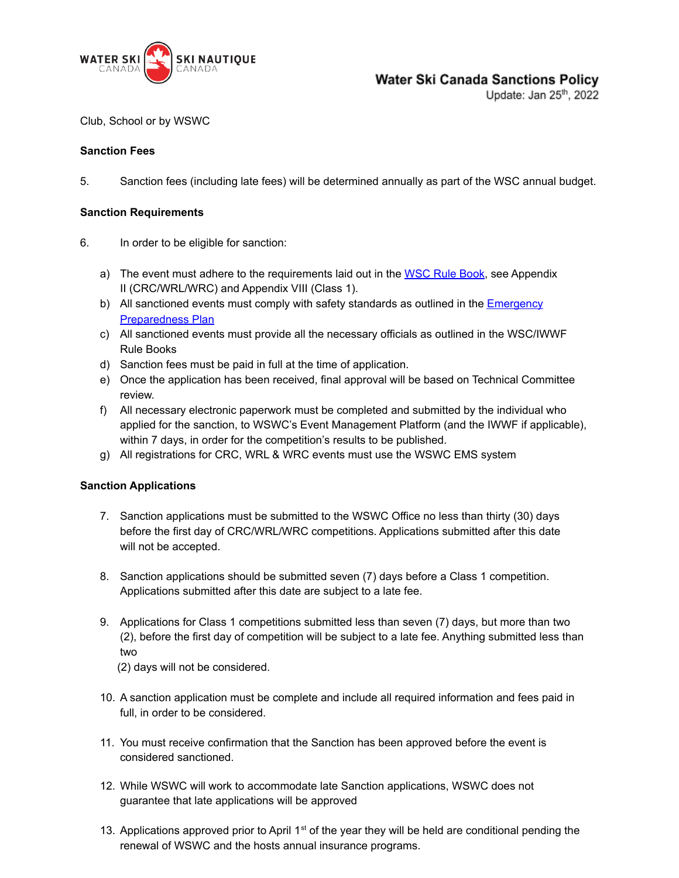

# **Water Ski Canada Sanctions Policy**

Update: Jan 25<sup>th</sup>, 2022

Club, School or by WSWC

### **Sanction Fees**

5. Sanction fees (including late fees) will be determined annually as part of the WSC annual budget.

#### **Sanction Requirements**

- 6. In order to be eligible for sanction:
	- a) The event must adhere to the requirements laid out in the WSC Rule [Book,](https://waterskicanada.ca/wp-content/uploads/2021-WS-Rule-Book-ENG.pdf) see Appendix II (CRC/WRL/WRC) and Appendix VIII (Class 1).
	- b) All sanctioned events must comply with safety standards as outlined in the **[Emergency](https://waterskicanada.ca/wp-content/uploads/WSWC-Emergency-Preparedness-Plan-PUBLIC-Dec-28-2016.pdf)** [Preparedness](https://waterskicanada.ca/wp-content/uploads/WSWC-Emergency-Preparedness-Plan-PUBLIC-Dec-28-2016.pdf) Plan
	- c) All sanctioned events must provide all the necessary officials as outlined in the WSC/IWWF Rule Books
	- d) Sanction fees must be paid in full at the time of application.
	- e) Once the application has been received, final approval will be based on Technical Committee review.
	- f) All necessary electronic paperwork must be completed and submitted by the individual who applied for the sanction, to WSWC's Event Management Platform (and the IWWF if applicable), within 7 days, in order for the competition's results to be published.
	- g) All registrations for CRC, WRL & WRC events must use the WSWC EMS system

## **Sanction Applications**

- 7. Sanction applications must be submitted to the WSWC Office no less than thirty (30) days before the first day of CRC/WRL/WRC competitions. Applications submitted after this date will not be accepted.
- 8. Sanction applications should be submitted seven (7) days before a Class 1 competition. Applications submitted after this date are subject to a late fee.
- 9. Applications for Class 1 competitions submitted less than seven (7) days, but more than two (2), before the first day of competition will be subject to a late fee. Anything submitted less than two
	- (2) days will not be considered.
- 10. A sanction application must be complete and include all required information and fees paid in full, in order to be considered.
- 11. You must receive confirmation that the Sanction has been approved before the event is considered sanctioned.
- 12. While WSWC will work to accommodate late Sanction applications, WSWC does not guarantee that late applications will be approved
- 13. Applications approved prior to April  $1<sup>st</sup>$  of the year they will be held are conditional pending the renewal of WSWC and the hosts annual insurance programs.